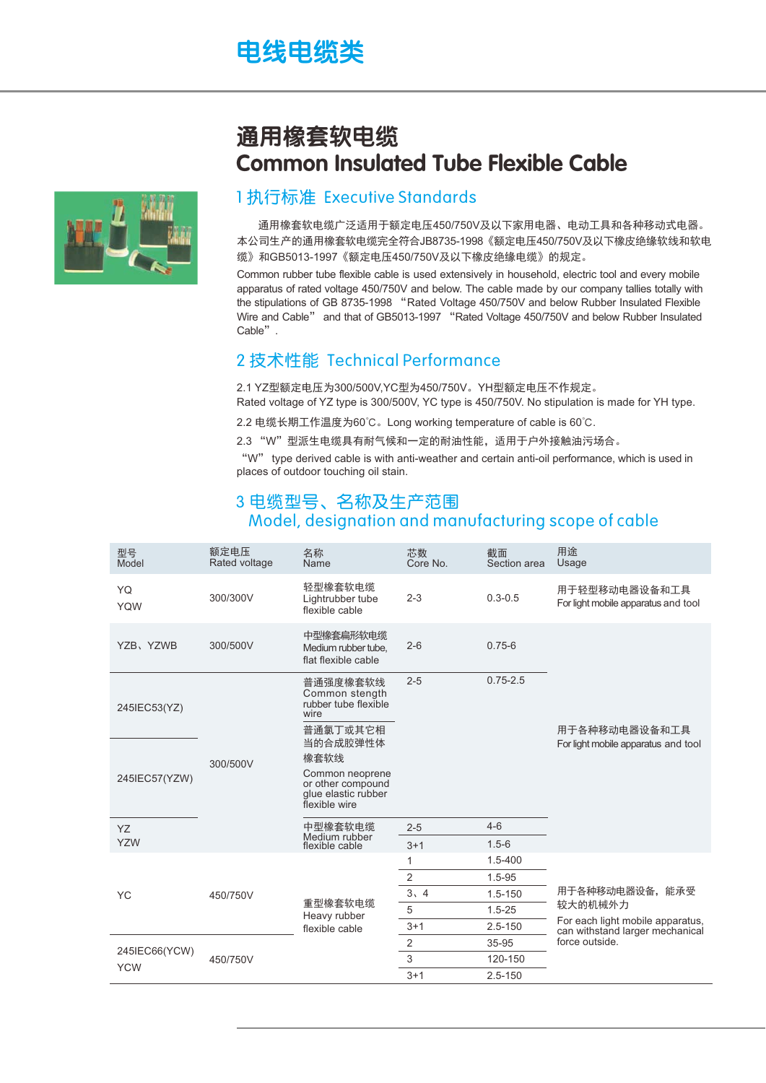# 电线电缆类

## 通用橡套软电缆 Common Insulated Tube Flexible Cable

### 1 执行标准 Executive Standards

通用橡套软电缆广泛适用于额定电压450/750V及以下家用电器、电动工具和各种移动式电器。 本公司生产的通用橡套软电缆完全符合JB8735-1998《额定电压450/750V及以下橡皮绝缘软线和软电 缆》和GB5013-1997《额定电压450/750V及以下橡皮绝缘电缆》的规定。

Common rubber tube flexible cable is used extensively in household, electric tool and every mobile apparatus of rated voltage 450/750V and below. The cable made by our company tallies totally with the stipulations of GB 8735-1998 "Rated Voltage 450/750V and below Rubber Insulated Flexible Wire and Cable" and that of GB5013-1997 "Rated Voltage 450/750V and below Rubber Insulated Cable".

#### 2 技术性能 Technical Performance

2.1 YZ型额定电压为300/500V.YC型为450/750V。YH型额定电压不作规定。 Rated voltage of YZ type is 300/500V, YC type is 450/750V. No stipulation is made for YH type.

2.2 电缆长期工作温度为60℃。 Long working temperature of cable is 60℃.

2.3 "W"型派生电缆具有耐气候和一定的耐油性能, 适用于户外接触油污场合。

"W" type derived cable is with anti-weather and certain anti-oil performance, which is used in places of outdoor touching oil stain.

### 3 电缆型号、名称及生产范围 Model, designation and manufacturing scope of cable

| 型号<br>Model                 | 额定电压<br>Rated voltage | 名称<br>Name                                                                   | 芯数<br>Core No. | 截面<br>Section area | 用途<br>Usage                                                                                                        |
|-----------------------------|-----------------------|------------------------------------------------------------------------------|----------------|--------------------|--------------------------------------------------------------------------------------------------------------------|
| YQ<br><b>YQW</b>            | 300/300V              | 轻型橡套软电缆<br>Lightrubber tube<br>flexible cable                                | $2 - 3$        | $0.3 - 0.5$        | 用于轻型移动电器设备和工具<br>For light mobile apparatus and tool                                                               |
| YZB、YZWB                    | 300/500V              | 中型橡套扁形软电缆<br>Medium rubber tube,<br>flat flexible cable                      | $2 - 6$        | $0.75 - 6$         |                                                                                                                    |
| 245IEC53(YZ)                |                       | 普通强度橡套软线<br>Common stength<br>rubber tube flexible<br>wire                   | $2 - 5$        | $0.75 - 2.5$       | 用于各种移动电器设备和工具<br>For light mobile apparatus and tool                                                               |
|                             | 300/500V              | 普通氯丁或其它相<br>当的合成胶弹性体                                                         |                |                    |                                                                                                                    |
| 245IEC57(YZW)               |                       | 橡套软线                                                                         |                |                    |                                                                                                                    |
|                             |                       | Common neoprene<br>or other compound<br>glue elastic rubber<br>flexible wire |                |                    |                                                                                                                    |
| YZ                          |                       | 中型橡套软电缆<br>Medium rubber<br>flexible cable                                   | $2 - 5$        | $4 - 6$            |                                                                                                                    |
| <b>YZW</b>                  |                       |                                                                              | $3 + 1$        | $1.5 - 6$          |                                                                                                                    |
| <b>YC</b>                   | 450/750V              | 重型橡套软电缆<br>Heavy rubber<br>flexible cable                                    | 1              | 1.5-400            | 用于各种移动电器设备,能承受<br>较大的机械外力<br>For each light mobile apparatus,<br>can withstand larger mechanical<br>force outside. |
|                             |                       |                                                                              | $\overline{2}$ | $1.5 - 95$         |                                                                                                                    |
|                             |                       |                                                                              | 3, 4           | $1.5 - 150$        |                                                                                                                    |
|                             |                       |                                                                              | 5              | $1.5 - 25$         |                                                                                                                    |
|                             |                       |                                                                              | $3 + 1$        | $2.5 - 150$        |                                                                                                                    |
| 245IEC66(YCW)<br><b>YCW</b> | 450/750V              |                                                                              | $\overline{2}$ | 35-95              |                                                                                                                    |
|                             |                       |                                                                              | 3              | 120-150            |                                                                                                                    |
|                             |                       |                                                                              | $3 + 1$        | $2.5 - 150$        |                                                                                                                    |